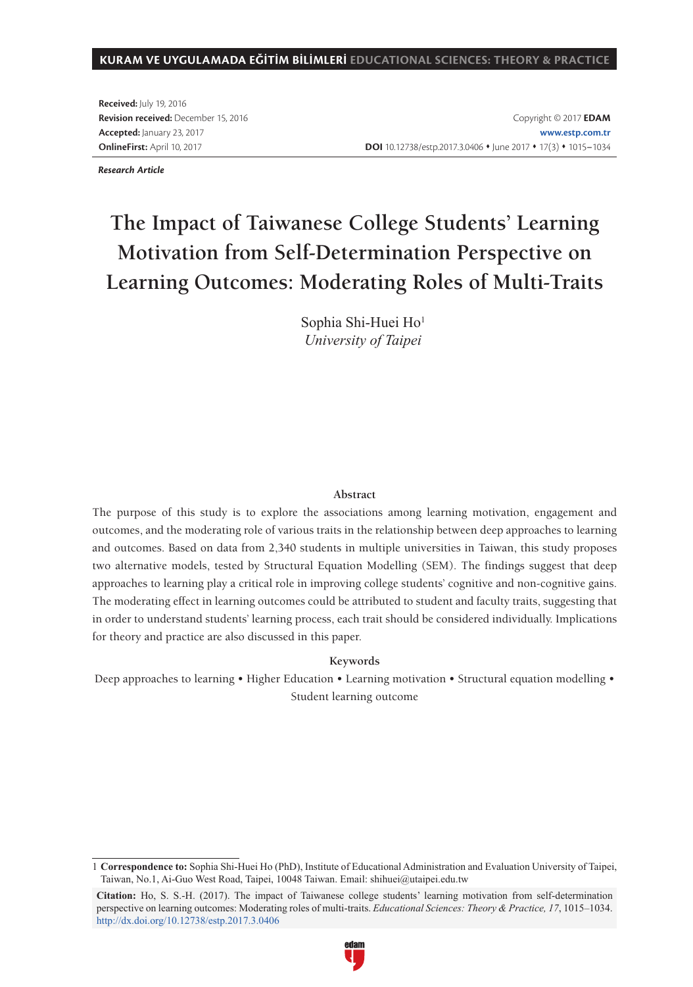#### **KURAM VE UYGULAMADA EĞİTİM BİLİMLERİ EDUCATIONAL SCIENCES: THEORY & PRACTICE**

**Received:** July 19, 2016 **Revision received:** December 15, 2016 **Accepted:** January 23, 2017 **OnlineFirst:** April 10, 2017

Copyright © 2017 **EDAM www.estp.com.tr** DOI 10.12738/estp.2017.3.0406 · June 2017 · 17(3) · 1015-1034

*Research Article*

# **The Impact of Taiwanese College Students' Learning Motivation from Self-Determination Perspective on Learning Outcomes: Moderating Roles of Multi-Traits**

Sophia Shi-Huei Ho1 *University of Taipei*

#### **Abstract**

The purpose of this study is to explore the associations among learning motivation, engagement and outcomes, and the moderating role of various traits in the relationship between deep approaches to learning and outcomes. Based on data from 2,340 students in multiple universities in Taiwan, this study proposes two alternative models, tested by Structural Equation Modelling (SEM). The findings suggest that deep approaches to learning play a critical role in improving college students' cognitive and non-cognitive gains. The moderating effect in learning outcomes could be attributed to student and faculty traits, suggesting that in order to understand students' learning process, each trait should be considered individually. Implications for theory and practice are also discussed in this paper.

#### **Keywords**

Deep approaches to learning • Higher Education • Learning motivation • Structural equation modelling • Student learning outcome

**Citation:** Ho, S. S.-H. (2017). The impact of Taiwanese college students' learning motivation from self-determination perspective on learning outcomes: Moderating roles of multi-traits. *Educational Sciences: Theory & Practice, 17*, 1015–1034. http://dx.doi.org/10.12738/estp.2017.3.0406



<sup>1</sup> **Correspondence to:** Sophia Shi-Huei Ho (PhD), Institute of Educational Administration and Evaluation University of Taipei, Taiwan, No.1, Ai-Guo West Road, Taipei, 10048 Taiwan. Email: shihuei@utaipei.edu.tw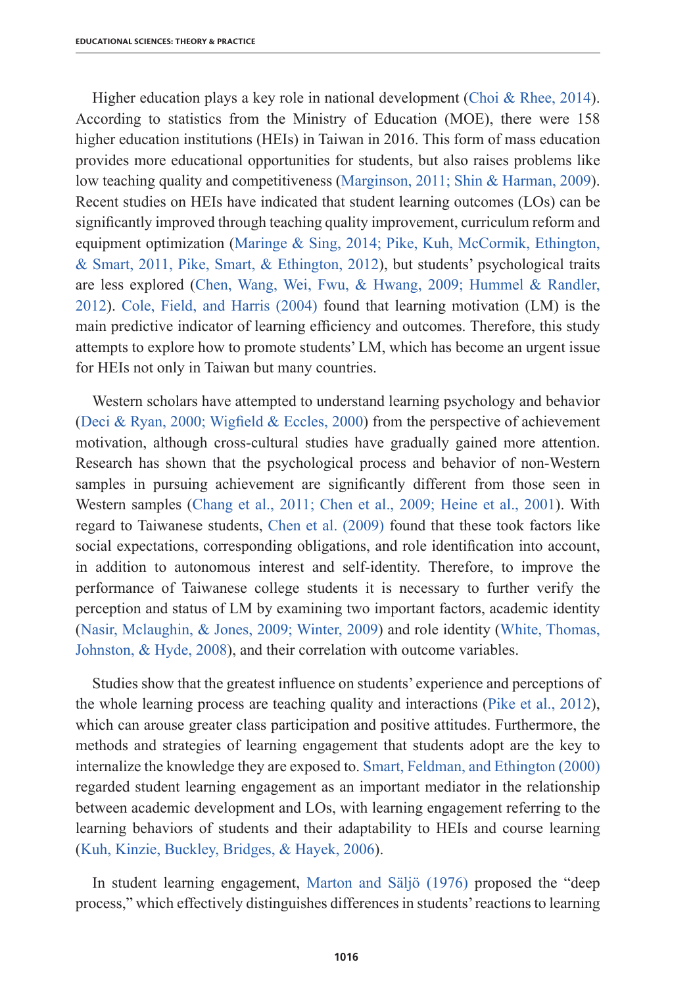Higher education plays a key role in national development (Choi & Rhee, 2014). According to statistics from the Ministry of Education (MOE), there were 158 higher education institutions (HEIs) in Taiwan in 2016. This form of mass education provides more educational opportunities for students, but also raises problems like low teaching quality and competitiveness (Marginson, 2011; Shin & Harman, 2009). Recent studies on HEIs have indicated that student learning outcomes (LOs) can be significantly improved through teaching quality improvement, curriculum reform and equipment optimization (Maringe & Sing, 2014; Pike, Kuh, McCormik, Ethington, & Smart, 2011, Pike, Smart, & Ethington, 2012), but students' psychological traits are less explored (Chen, Wang, Wei, Fwu, & Hwang, 2009; Hummel & Randler, 2012). Cole, Field, and Harris (2004) found that learning motivation (LM) is the main predictive indicator of learning efficiency and outcomes. Therefore, this study attempts to explore how to promote students' LM, which has become an urgent issue for HEIs not only in Taiwan but many countries.

Western scholars have attempted to understand learning psychology and behavior (Deci & Ryan, 2000; Wigfield & Eccles, 2000) from the perspective of achievement motivation, although cross-cultural studies have gradually gained more attention. Research has shown that the psychological process and behavior of non-Western samples in pursuing achievement are significantly different from those seen in Western samples (Chang et al., 2011; Chen et al., 2009; Heine et al., 2001). With regard to Taiwanese students, Chen et al. (2009) found that these took factors like social expectations, corresponding obligations, and role identification into account, in addition to autonomous interest and self-identity. Therefore, to improve the performance of Taiwanese college students it is necessary to further verify the perception and status of LM by examining two important factors, academic identity (Nasir, Mclaughin, & Jones, 2009; Winter, 2009) and role identity (White, Thomas, Johnston, & Hyde, 2008), and their correlation with outcome variables.

Studies show that the greatest influence on students' experience and perceptions of the whole learning process are teaching quality and interactions (Pike et al., 2012), which can arouse greater class participation and positive attitudes. Furthermore, the methods and strategies of learning engagement that students adopt are the key to internalize the knowledge they are exposed to. Smart, Feldman, and Ethington (2000) regarded student learning engagement as an important mediator in the relationship between academic development and LOs, with learning engagement referring to the learning behaviors of students and their adaptability to HEIs and course learning (Kuh, Kinzie, Buckley, Bridges, & Hayek, 2006).

In student learning engagement, Marton and Säljö (1976) proposed the "deep process," which effectively distinguishes differences in students' reactions to learning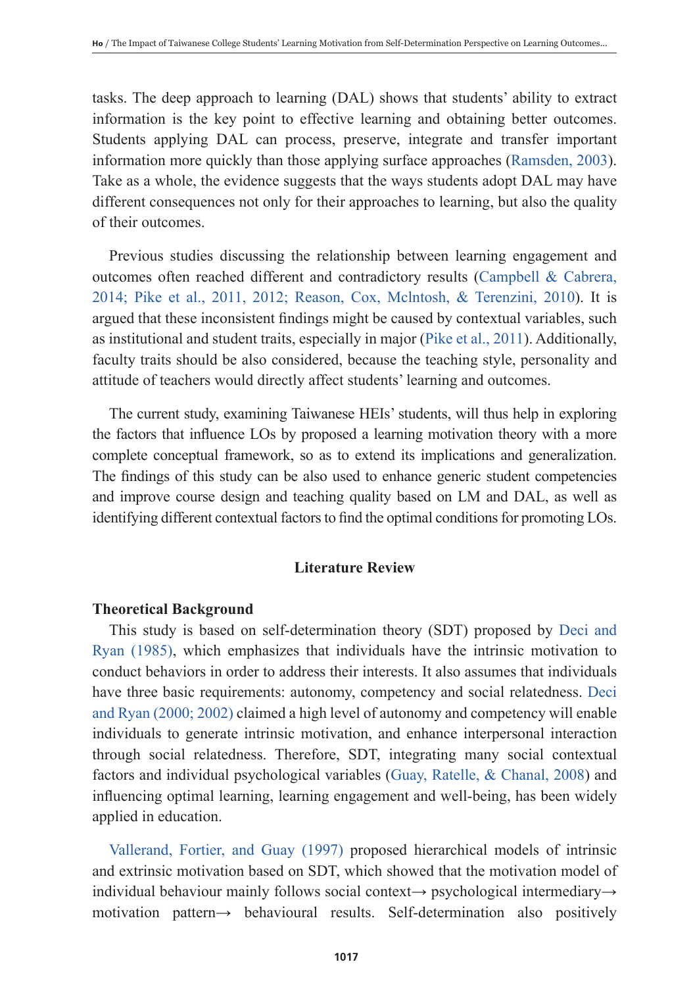tasks. The deep approach to learning (DAL) shows that students' ability to extract information is the key point to effective learning and obtaining better outcomes. Students applying DAL can process, preserve, integrate and transfer important information more quickly than those applying surface approaches (Ramsden, 2003). Take as a whole, the evidence suggests that the ways students adopt DAL may have different consequences not only for their approaches to learning, but also the quality of their outcomes.

Previous studies discussing the relationship between learning engagement and outcomes often reached different and contradictory results (Campbell & Cabrera, 2014; Pike et al., 2011, 2012; Reason, Cox, Mclntosh, & Terenzini, 2010). It is argued that these inconsistent findings might be caused by contextual variables, such as institutional and student traits, especially in major (Pike et al., 2011). Additionally, faculty traits should be also considered, because the teaching style, personality and attitude of teachers would directly affect students' learning and outcomes.

The current study, examining Taiwanese HEIs' students, will thus help in exploring the factors that influence LOs by proposed a learning motivation theory with a more complete conceptual framework, so as to extend its implications and generalization. The findings of this study can be also used to enhance generic student competencies and improve course design and teaching quality based on LM and DAL, as well as identifying different contextual factors to find the optimal conditions for promoting LOs.

# **Literature Review**

## **Theoretical Background**

This study is based on self-determination theory (SDT) proposed by Deci and Ryan (1985), which emphasizes that individuals have the intrinsic motivation to conduct behaviors in order to address their interests. It also assumes that individuals have three basic requirements: autonomy, competency and social relatedness. Deci and Ryan (2000; 2002) claimed a high level of autonomy and competency will enable individuals to generate intrinsic motivation, and enhance interpersonal interaction through social relatedness. Therefore, SDT, integrating many social contextual factors and individual psychological variables (Guay, Ratelle, & Chanal, 2008) and influencing optimal learning, learning engagement and well-being, has been widely applied in education.

Vallerand, Fortier, and Guay (1997) proposed hierarchical models of intrinsic and extrinsic motivation based on SDT, which showed that the motivation model of individual behaviour mainly follows social context→ psychological intermediary→ motivation pattern→ behavioural results. Self-determination also positively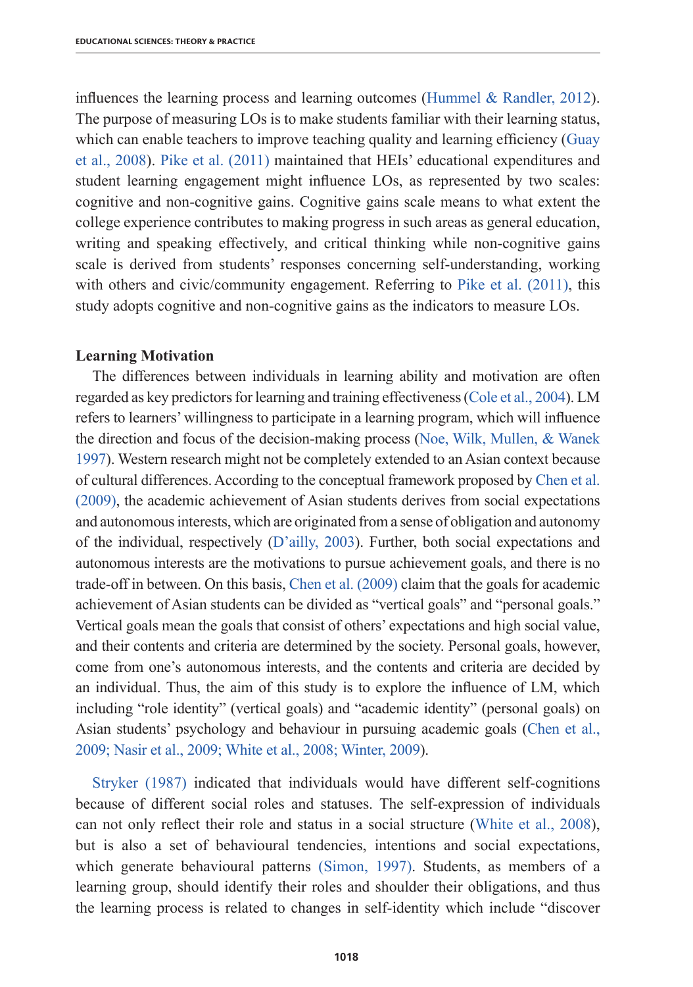influences the learning process and learning outcomes (Hummel  $\&$  Randler, 2012). The purpose of measuring LOs is to make students familiar with their learning status, which can enable teachers to improve teaching quality and learning efficiency (Guay et al., 2008). Pike et al. (2011) maintained that HEIs' educational expenditures and student learning engagement might influence LOs, as represented by two scales: cognitive and non-cognitive gains. Cognitive gains scale means to what extent the college experience contributes to making progress in such areas as general education, writing and speaking effectively, and critical thinking while non-cognitive gains scale is derived from students' responses concerning self-understanding, working with others and civic/community engagement. Referring to Pike et al. (2011), this study adopts cognitive and non-cognitive gains as the indicators to measure LOs.

#### **Learning Motivation**

The differences between individuals in learning ability and motivation are often regarded as key predictors for learning and training effectiveness (Cole et al., 2004). LM refers to learners' willingness to participate in a learning program, which will influence the direction and focus of the decision-making process (Noe, Wilk, Mullen, & Wanek 1997). Western research might not be completely extended to an Asian context because of cultural differences. According to the conceptual framework proposed by Chen et al. (2009), the academic achievement of Asian students derives from social expectations and autonomous interests, which are originated from a sense of obligation and autonomy of the individual, respectively (D'ailly, 2003). Further, both social expectations and autonomous interests are the motivations to pursue achievement goals, and there is no trade-off in between. On this basis, Chen et al. (2009) claim that the goals for academic achievement of Asian students can be divided as "vertical goals" and "personal goals." Vertical goals mean the goals that consist of others' expectations and high social value, and their contents and criteria are determined by the society. Personal goals, however, come from one's autonomous interests, and the contents and criteria are decided by an individual. Thus, the aim of this study is to explore the influence of LM, which including "role identity" (vertical goals) and "academic identity" (personal goals) on Asian students' psychology and behaviour in pursuing academic goals (Chen et al., 2009; Nasir et al., 2009; White et al., 2008; Winter, 2009).

Stryker (1987) indicated that individuals would have different self-cognitions because of different social roles and statuses. The self-expression of individuals can not only reflect their role and status in a social structure (White et al., 2008), but is also a set of behavioural tendencies, intentions and social expectations, which generate behavioural patterns (Simon, 1997). Students, as members of a learning group, should identify their roles and shoulder their obligations, and thus the learning process is related to changes in self-identity which include "discover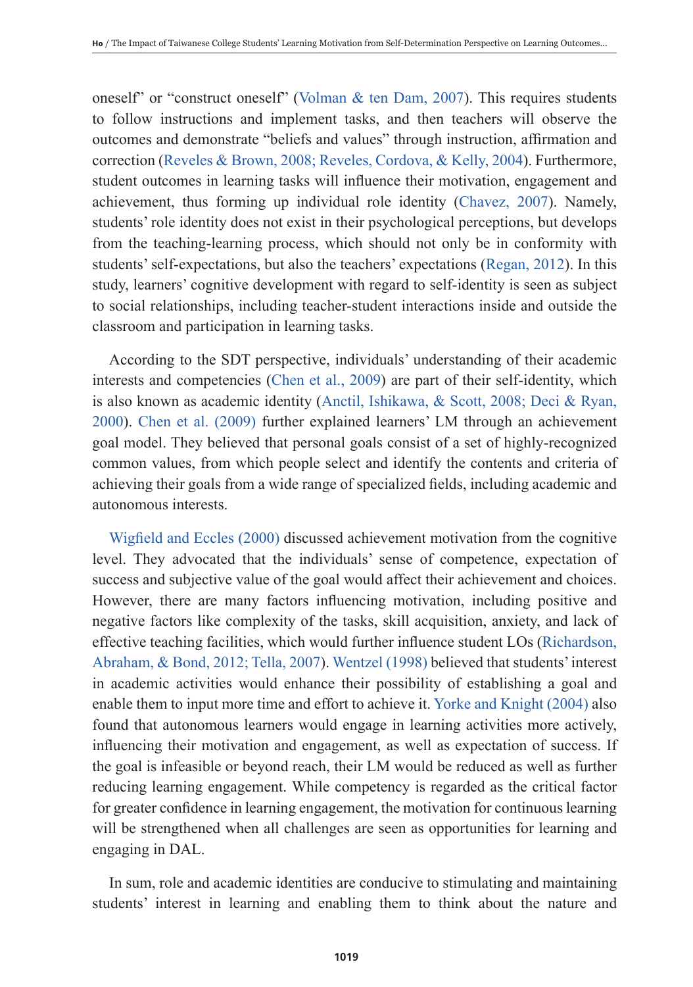oneself" or "construct oneself" (Volman  $&$  ten Dam, 2007). This requires students to follow instructions and implement tasks, and then teachers will observe the outcomes and demonstrate "beliefs and values" through instruction, affirmation and correction (Reveles & Brown, 2008; Reveles, Cordova, & Kelly, 2004). Furthermore, student outcomes in learning tasks will influence their motivation, engagement and achievement, thus forming up individual role identity (Chavez, 2007). Namely, students' role identity does not exist in their psychological perceptions, but develops from the teaching-learning process, which should not only be in conformity with students' self-expectations, but also the teachers' expectations (Regan, 2012). In this study, learners' cognitive development with regard to self-identity is seen as subject to social relationships, including teacher-student interactions inside and outside the classroom and participation in learning tasks.

According to the SDT perspective, individuals' understanding of their academic interests and competencies (Chen et al., 2009) are part of their self-identity, which is also known as academic identity (Anctil, Ishikawa, & Scott, 2008; Deci & Ryan, 2000). Chen et al. (2009) further explained learners' LM through an achievement goal model. They believed that personal goals consist of a set of highly-recognized common values, from which people select and identify the contents and criteria of achieving their goals from a wide range of specialized fields, including academic and autonomous interests.

Wigfield and Eccles (2000) discussed achievement motivation from the cognitive level. They advocated that the individuals' sense of competence, expectation of success and subjective value of the goal would affect their achievement and choices. However, there are many factors influencing motivation, including positive and negative factors like complexity of the tasks, skill acquisition, anxiety, and lack of effective teaching facilities, which would further influence student LOs (Richardson, Abraham, & Bond, 2012; Tella, 2007). Wentzel (1998) believed that students' interest in academic activities would enhance their possibility of establishing a goal and enable them to input more time and effort to achieve it. Yorke and Knight (2004) also found that autonomous learners would engage in learning activities more actively, influencing their motivation and engagement, as well as expectation of success. If the goal is infeasible or beyond reach, their LM would be reduced as well as further reducing learning engagement. While competency is regarded as the critical factor for greater confidence in learning engagement, the motivation for continuous learning will be strengthened when all challenges are seen as opportunities for learning and engaging in DAL.

In sum, role and academic identities are conducive to stimulating and maintaining students' interest in learning and enabling them to think about the nature and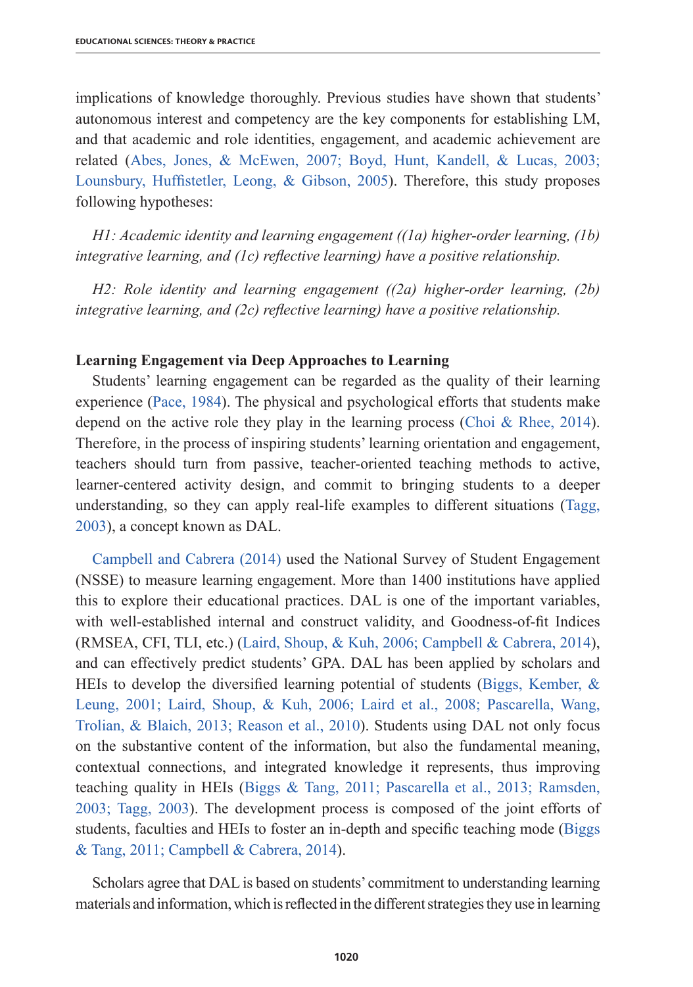implications of knowledge thoroughly. Previous studies have shown that students' autonomous interest and competency are the key components for establishing LM, and that academic and role identities, engagement, and academic achievement are related (Abes, Jones, & McEwen, 2007; Boyd, Hunt, Kandell, & Lucas, 2003; Lounsbury, Huffistetler, Leong, & Gibson, 2005). Therefore, this study proposes following hypotheses:

*H1: Academic identity and learning engagement ((1a) higher-order learning, (1b) integrative learning, and (1c) reflective learning) have a positive relationship.*

*H2: Role identity and learning engagement ((2a) higher-order learning, (2b) integrative learning, and (2c) reflective learning) have a positive relationship.*

## **Learning Engagement via Deep Approaches to Learning**

Students' learning engagement can be regarded as the quality of their learning experience (Pace, 1984). The physical and psychological efforts that students make depend on the active role they play in the learning process (Choi & Rhee, 2014). Therefore, in the process of inspiring students' learning orientation and engagement, teachers should turn from passive, teacher-oriented teaching methods to active, learner-centered activity design, and commit to bringing students to a deeper understanding, so they can apply real-life examples to different situations (Tagg, 2003), a concept known as DAL.

Campbell and Cabrera (2014) used the National Survey of Student Engagement (NSSE) to measure learning engagement. More than 1400 institutions have applied this to explore their educational practices. DAL is one of the important variables, with well-established internal and construct validity, and Goodness-of-fit Indices (RMSEA, CFI, TLI, etc.) (Laird, Shoup, & Kuh, 2006; Campbell & Cabrera, 2014), and can effectively predict students' GPA. DAL has been applied by scholars and HEIs to develop the diversified learning potential of students (Biggs, Kember, & Leung, 2001; Laird, Shoup, & Kuh, 2006; Laird et al., 2008; Pascarella, Wang, Trolian, & Blaich, 2013; Reason et al., 2010). Students using DAL not only focus on the substantive content of the information, but also the fundamental meaning, contextual connections, and integrated knowledge it represents, thus improving teaching quality in HEIs (Biggs & Tang, 2011; Pascarella et al., 2013; Ramsden, 2003; Tagg, 2003). The development process is composed of the joint efforts of students, faculties and HEIs to foster an in-depth and specific teaching mode (Biggs & Tang, 2011; Campbell & Cabrera, 2014).

Scholars agree that DAL is based on students' commitment to understanding learning materials and information, which is reflected in the different strategies they use in learning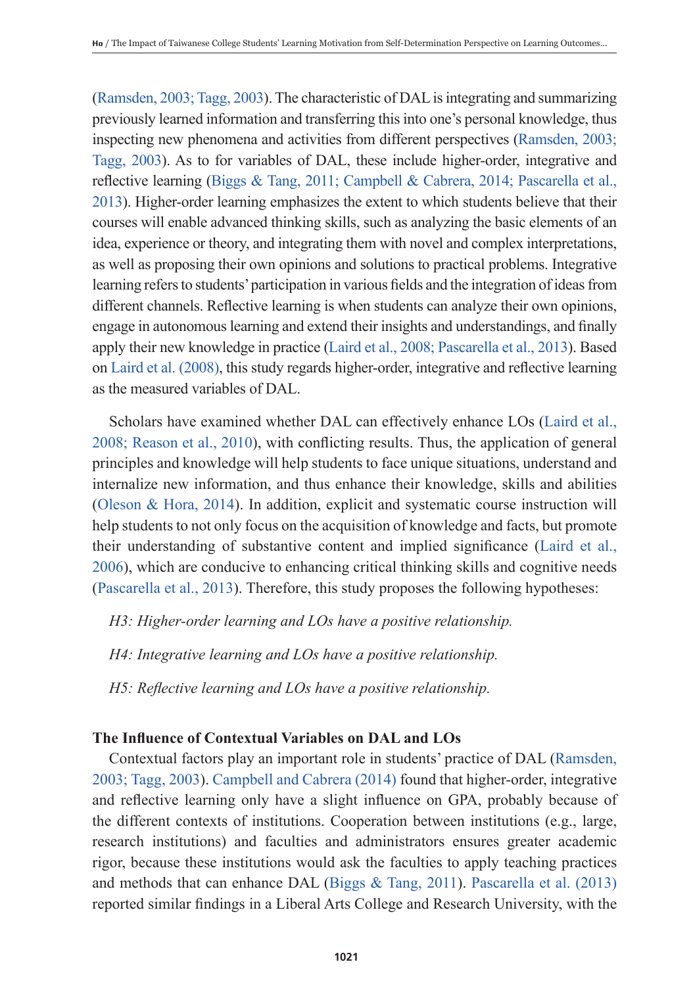(Ramsden, 2003; Tagg, 2003). The characteristic of DAL is integrating and summarizing previously learned information and transferring this into one's personal knowledge, thus inspecting new phenomena and activities from different perspectives (Ramsden, 2003; Tagg, 2003). As to for variables of DAL, these include higher-order, integrative and reflective learning (Biggs & Tang, 2011; Campbell & Cabrera, 2014; Pascarella et al., 2013). Higher-order learning emphasizes the extent to which students believe that their courses will enable advanced thinking skills, such as analyzing the basic elements of an idea, experience or theory, and integrating them with novel and complex interpretations, as well as proposing their own opinions and solutions to practical problems. Integrative learning refers to students' participation in various fields and the integration of ideas from different channels. Reflective learning is when students can analyze their own opinions, engage in autonomous learning and extend their insights and understandings, and finally apply their new knowledge in practice (Laird et al., 2008; Pascarella et al., 2013). Based on Laird et al. (2008), this study regards higher-order, integrative and reflective learning as the measured variables of DAL.

Scholars have examined whether DAL can effectively enhance LOs (Laird et al., 2008; Reason et al., 2010), with conflicting results. Thus, the application of general principles and knowledge will help students to face unique situations, understand and internalize new information, and thus enhance their knowledge, skills and abilities (Oleson & Hora, 2014). In addition, explicit and systematic course instruction will help students to not only focus on the acquisition of knowledge and facts, but promote their understanding of substantive content and implied significance (Laird et al., 2006), which are conducive to enhancing critical thinking skills and cognitive needs (Pascarella et al., 2013). Therefore, this study proposes the following hypotheses:

- *H3: Higher-order learning and LOs have a positive relationship.*
- *H4: Integrative learning and LOs have a positive relationship.*
- *H5: Reflective learning and LOs have a positive relationship.*

# **The Influence of Contextual Variables on DAL and LOs**

Contextual factors play an important role in students' practice of DAL (Ramsden, 2003; Tagg, 2003). Campbell and Cabrera (2014) found that higher-order, integrative and reflective learning only have a slight influence on GPA, probably because of the different contexts of institutions. Cooperation between institutions (e.g., large, research institutions) and faculties and administrators ensures greater academic rigor, because these institutions would ask the faculties to apply teaching practices and methods that can enhance DAL (Biggs & Tang, 2011). Pascarella et al. (2013) reported similar findings in a Liberal Arts College and Research University, with the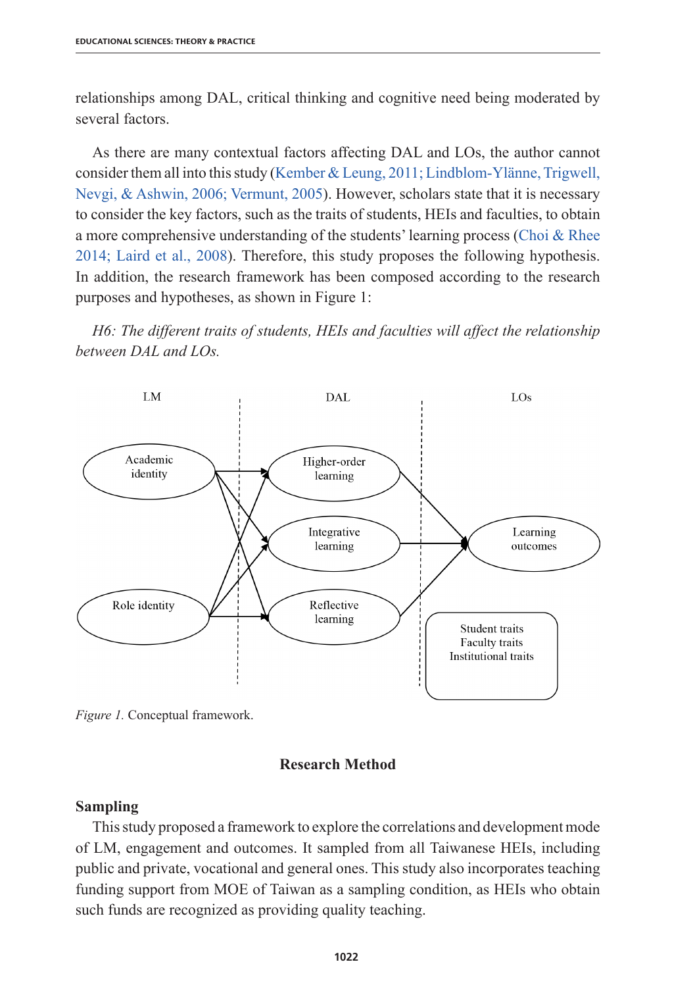relationships among DAL, critical thinking and cognitive need being moderated by several factors.

As there are many contextual factors affecting DAL and LOs, the author cannot consider them all into this study (Kember & Leung, 2011; Lindblom-Ylänne, Trigwell, Nevgi, & Ashwin, 2006; Vermunt, 2005). However, scholars state that it is necessary to consider the key factors, such as the traits of students, HEIs and faculties, to obtain a more comprehensive understanding of the students' learning process (Choi & Rhee 2014; Laird et al., 2008). Therefore, this study proposes the following hypothesis. In addition, the research framework has been composed according to the research purposes and hypotheses, as shown in Figure 1:

*H6: The different traits of students, HEIs and faculties will affect the relationship between DAL and LOs.*



*Figure 1.* Conceptual framework.

## **Research Method**

## **Sampling**

This study proposed a framework to explore the correlations and development mode of LM, engagement and outcomes. It sampled from all Taiwanese HEIs, including public and private, vocational and general ones. This study also incorporates teaching funding support from MOE of Taiwan as a sampling condition, as HEIs who obtain such funds are recognized as providing quality teaching.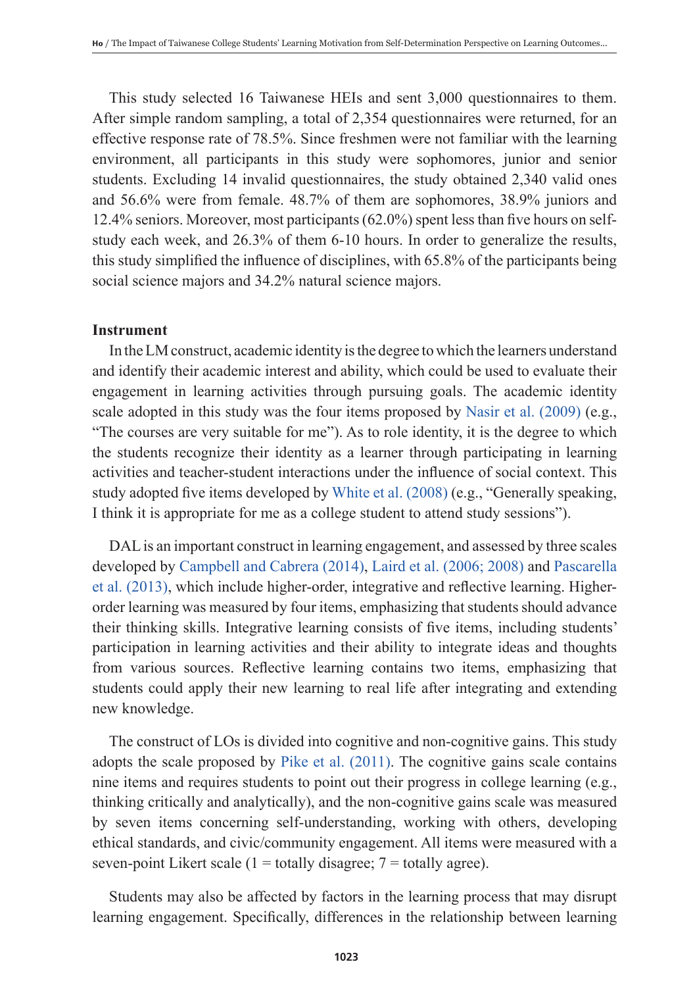This study selected 16 Taiwanese HEIs and sent 3,000 questionnaires to them. After simple random sampling, a total of 2,354 questionnaires were returned, for an effective response rate of 78.5%. Since freshmen were not familiar with the learning environment, all participants in this study were sophomores, junior and senior students. Excluding 14 invalid questionnaires, the study obtained 2,340 valid ones and 56.6% were from female. 48.7% of them are sophomores, 38.9% juniors and 12.4% seniors. Moreover, most participants (62.0%) spent less than five hours on selfstudy each week, and 26.3% of them 6-10 hours. In order to generalize the results, this study simplified the influence of disciplines, with 65.8% of the participants being social science majors and 34.2% natural science majors.

# **Instrument**

In the LM construct, academic identity is the degree to which the learners understand and identify their academic interest and ability, which could be used to evaluate their engagement in learning activities through pursuing goals. The academic identity scale adopted in this study was the four items proposed by Nasir et al. (2009) (e.g., "The courses are very suitable for me"). As to role identity, it is the degree to which the students recognize their identity as a learner through participating in learning activities and teacher-student interactions under the influence of social context. This study adopted five items developed by White et al. (2008) (e.g., "Generally speaking, I think it is appropriate for me as a college student to attend study sessions").

DAL is an important construct in learning engagement, and assessed by three scales developed by Campbell and Cabrera (2014), Laird et al. (2006; 2008) and Pascarella et al. (2013), which include higher-order, integrative and reflective learning. Higherorder learning was measured by four items, emphasizing that students should advance their thinking skills. Integrative learning consists of five items, including students' participation in learning activities and their ability to integrate ideas and thoughts from various sources. Reflective learning contains two items, emphasizing that students could apply their new learning to real life after integrating and extending new knowledge.

The construct of LOs is divided into cognitive and non-cognitive gains. This study adopts the scale proposed by Pike et al. (2011). The cognitive gains scale contains nine items and requires students to point out their progress in college learning (e.g., thinking critically and analytically), and the non-cognitive gains scale was measured by seven items concerning self-understanding, working with others, developing ethical standards, and civic/community engagement. All items were measured with a seven-point Likert scale ( $1 =$  totally disagree;  $7 =$  totally agree).

Students may also be affected by factors in the learning process that may disrupt learning engagement. Specifically, differences in the relationship between learning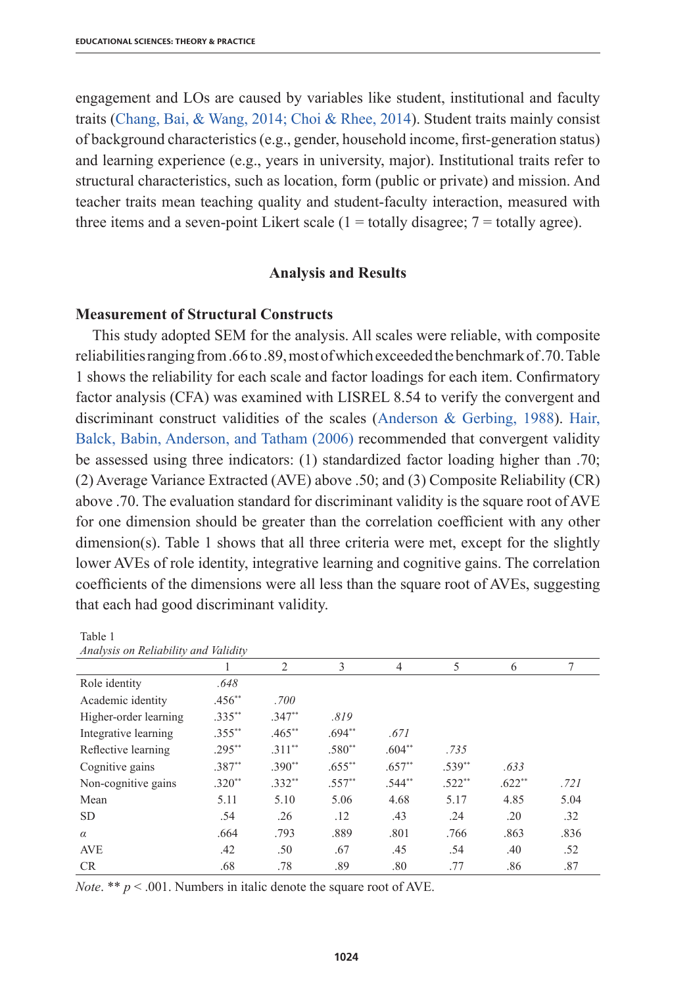engagement and LOs are caused by variables like student, institutional and faculty traits (Chang, Bai, & Wang, 2014; Choi & Rhee, 2014). Student traits mainly consist of background characteristics (e.g., gender, household income, first-generation status) and learning experience (e.g., years in university, major). Institutional traits refer to structural characteristics, such as location, form (public or private) and mission. And teacher traits mean teaching quality and student-faculty interaction, measured with three items and a seven-point Likert scale  $(1 = totally distance; 7 = totally agree)$ .

## **Analysis and Results**

# **Measurement of Structural Constructs**

Table 1

This study adopted SEM for the analysis. All scales were reliable, with composite reliabilities ranging from .66 to .89, most of which exceeded the benchmark of .70. Table 1 shows the reliability for each scale and factor loadings for each item. Confirmatory factor analysis (CFA) was examined with LISREL 8.54 to verify the convergent and discriminant construct validities of the scales (Anderson & Gerbing, 1988). Hair, Balck, Babin, Anderson, and Tatham (2006) recommended that convergent validity be assessed using three indicators: (1) standardized factor loading higher than .70; (2) Average Variance Extracted (AVE) above .50; and (3) Composite Reliability (CR) above .70. The evaluation standard for discriminant validity is the square root of AVE for one dimension should be greater than the correlation coefficient with any other dimension(s). Table 1 shows that all three criteria were met, except for the slightly lower AVEs of role identity, integrative learning and cognitive gains. The correlation coefficients of the dimensions were all less than the square root of AVEs, suggesting that each had good discriminant validity.

| Analysis on Reliability and Validity |           |                |           |          |          |          |      |
|--------------------------------------|-----------|----------------|-----------|----------|----------|----------|------|
|                                      |           | $\overline{c}$ | 3         | 4        | 5        | 6        | 7    |
| Role identity                        | .648      |                |           |          |          |          |      |
| Academic identity                    | $.456**$  | .700           |           |          |          |          |      |
| Higher-order learning                | $.335**$  | $.347**$       | .819      |          |          |          |      |
| Integrative learning                 | $.355***$ | $.465**$       | $.694**$  | .671     |          |          |      |
| Reflective learning                  | $.295***$ | $.311**$       | $.580**$  | $.604**$ | .735     |          |      |
| Cognitive gains                      | $.387**$  | $.390**$       | $.655***$ | $.657**$ | $.539**$ | .633     |      |
| Non-cognitive gains                  | $.320**$  | $.332**$       | $.557**$  | $.544**$ | $.522**$ | $.622**$ | .721 |
| Mean                                 | 5.11      | 5.10           | 5.06      | 4.68     | 5.17     | 4.85     | 5.04 |
| <b>SD</b>                            | .54       | .26            | .12       | .43      | .24      | .20      | .32  |
| $\alpha$                             | .664      | .793           | .889      | .801     | .766     | .863     | .836 |
| <b>AVE</b>                           | .42       | .50            | .67       | .45      | .54      | .40      | .52  |
| <b>CR</b>                            | .68       | .78            | .89       | .80      | .77      | .86      | .87  |

*Note.* \*\*  $p < .001$ . Numbers in italic denote the square root of AVE.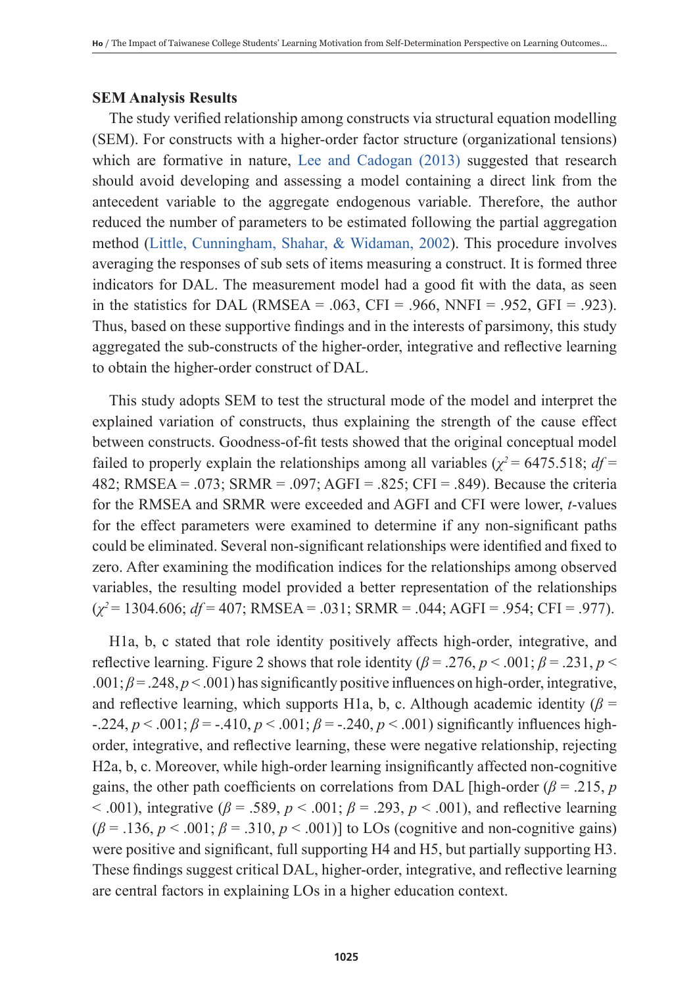# **SEM Analysis Results**

The study verified relationship among constructs via structural equation modelling (SEM). For constructs with a higher-order factor structure (organizational tensions) which are formative in nature, Lee and Cadogan (2013) suggested that research should avoid developing and assessing a model containing a direct link from the antecedent variable to the aggregate endogenous variable. Therefore, the author reduced the number of parameters to be estimated following the partial aggregation method (Little, Cunningham, Shahar, & Widaman, 2002). This procedure involves averaging the responses of sub sets of items measuring a construct. It is formed three indicators for DAL. The measurement model had a good fit with the data, as seen in the statistics for DAL (RMSEA = .063, CFI = .966, NNFI = .952, GFI = .923). Thus, based on these supportive findings and in the interests of parsimony, this study aggregated the sub-constructs of the higher-order, integrative and reflective learning to obtain the higher-order construct of DAL.

This study adopts SEM to test the structural mode of the model and interpret the explained variation of constructs, thus explaining the strength of the cause effect between constructs. Goodness-of-fit tests showed that the original conceptual model failed to properly explain the relationships among all variables ( $\chi^2$  = 6475.518; *df* = 482; RMSEA = .073; SRMR = .097; AGFI = .825; CFI = .849). Because the criteria for the RMSEA and SRMR were exceeded and AGFI and CFI were lower, *t*-values for the effect parameters were examined to determine if any non-significant paths could be eliminated. Several non-significant relationships were identified and fixed to zero. After examining the modification indices for the relationships among observed variables, the resulting model provided a better representation of the relationships (*χ<sup>2</sup>*= 1304.606; *df* = 407; RMSEA = .031; SRMR = .044; AGFI = .954; CFI = .977).

H1a, b, c stated that role identity positively affects high-order, integrative, and reflective learning. Figure 2 shows that role identity ( $\beta$  = .276,  $p$  < .001;  $\beta$  = .231,  $p$  < .001;  $\beta$  = .248,  $p$  < .001) has significantly positive influences on high-order, integrative, and reflective learning, which supports H1a, b, c. Although academic identity ( $\beta$  =  $-224, p < .001; \beta = -0.410, p < .001; \beta = -0.240, p < .001$  significantly influences highorder, integrative, and reflective learning, these were negative relationship, rejecting H2a, b, c. Moreover, while high-order learning insignificantly affected non-cognitive gains, the other path coefficients on correlations from DAL [high-order ( $\beta$  = .215, *p*  $< .001$ ), integrative ( $\beta = .589$ ,  $p < .001$ ;  $\beta = .293$ ,  $p < .001$ ), and reflective learning  $(\beta = .136, p < .001; \beta = .310, p < .001)$ ] to LOs (cognitive and non-cognitive gains) were positive and significant, full supporting H4 and H5, but partially supporting H3. These findings suggest critical DAL, higher-order, integrative, and reflective learning are central factors in explaining LOs in a higher education context.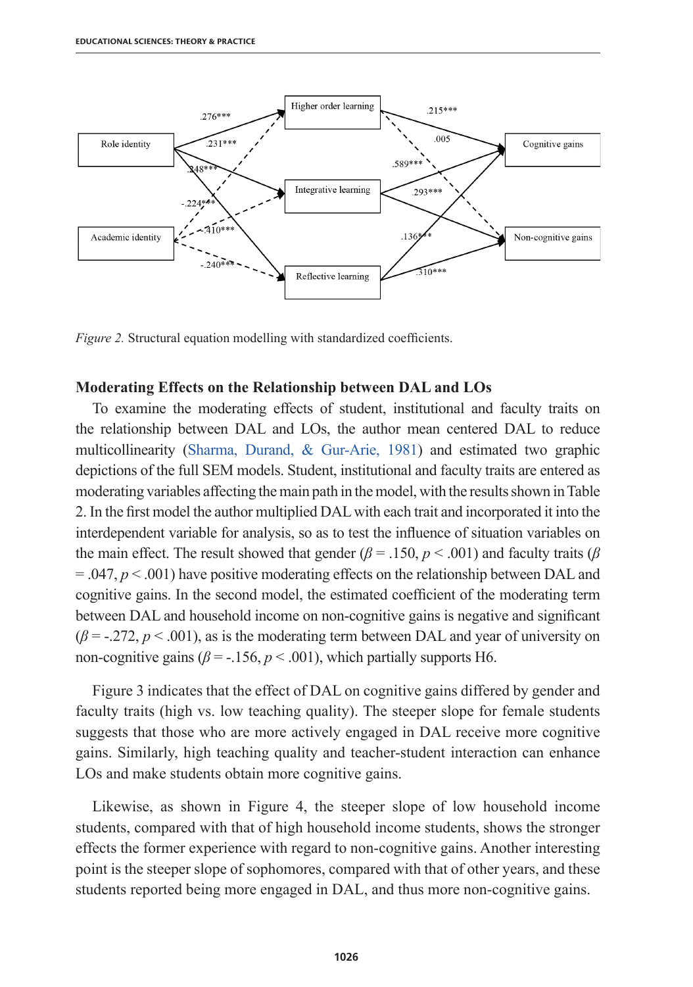

*Figure 2.* Structural equation modelling with standardized coefficients.

#### **Moderating Effects on the Relationship between DAL and LOs**

To examine the moderating effects of student, institutional and faculty traits on the relationship between DAL and LOs, the author mean centered DAL to reduce multicollinearity (Sharma, Durand, & Gur-Arie, 1981) and estimated two graphic depictions of the full SEM models. Student, institutional and faculty traits are entered as moderating variables affecting the main path in the model, with the results shown in Table 2. In the first model the author multiplied DAL with each trait and incorporated it into the interdependent variable for analysis, so as to test the influence of situation variables on the main effect. The result showed that gender ( $\beta$  = .150,  $p$  < .001) and faculty traits ( $\beta$  $= 0.047, p < 0.001$  have positive moderating effects on the relationship between DAL and cognitive gains. In the second model, the estimated coefficient of the moderating term between DAL and household income on non-cognitive gains is negative and significant  $(\beta = -0.272, p < 0.001)$ , as is the moderating term between DAL and year of university on non-cognitive gains ( $\beta$  = -.156,  $p < .001$ ), which partially supports H6.

Figure 3 indicates that the effect of DAL on cognitive gains differed by gender and faculty traits (high vs. low teaching quality). The steeper slope for female students suggests that those who are more actively engaged in DAL receive more cognitive gains. Similarly, high teaching quality and teacher-student interaction can enhance LOs and make students obtain more cognitive gains.

Likewise, as shown in Figure 4, the steeper slope of low household income students, compared with that of high household income students, shows the stronger effects the former experience with regard to non-cognitive gains. Another interesting point is the steeper slope of sophomores, compared with that of other years, and these students reported being more engaged in DAL, and thus more non-cognitive gains.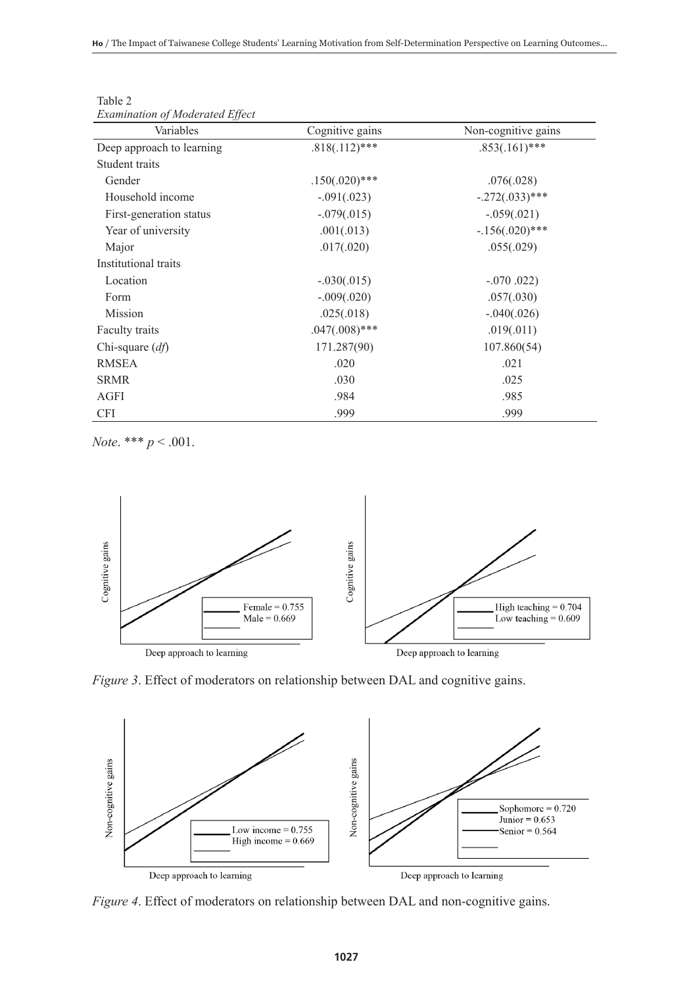| <i>Examination of Moderated Effect</i><br>Variables | Cognitive gains  | Non-cognitive gains |  |  |
|-----------------------------------------------------|------------------|---------------------|--|--|
| Deep approach to learning                           | $.818(.112)$ *** | $.853(.161)$ ***    |  |  |
| Student traits                                      |                  |                     |  |  |
| Gender                                              | $.150(.020)$ *** | .076(.028)          |  |  |
| Household income                                    | $-.091(.023)$    | $-.272(.033)$ ***   |  |  |
| First-generation status                             | $-.079(.015)$    | $-.059(.021)$       |  |  |
| Year of university                                  | .001(.013)       | $-156(.020)$ ***    |  |  |
| Major                                               | .017(.020)       | .055(.029)          |  |  |
| Institutional traits                                |                  |                     |  |  |
| Location                                            | $-.030(.015)$    | $-.070$ .022)       |  |  |
| Form                                                | $-.009(.020)$    | .057(.030)          |  |  |
| Mission                                             | .025(.018)       | $-.040(.026)$       |  |  |
| Faculty traits                                      | $.047(.008)***$  | .019(.011)          |  |  |
| Chi-square $(df)$                                   | 171.287(90)      | 107.860(54)         |  |  |
| <b>RMSEA</b>                                        | .020             | .021                |  |  |
| <b>SRMR</b>                                         | .030             | .025                |  |  |
| AGFI                                                | .984             | .985                |  |  |
| <b>CFI</b>                                          | .999             | .999                |  |  |

Table 2 *Examination of Moderated Effect*

*Note*. \*\*\* *p* < .001.



*Figure 3*. Effect of moderators on relationship between DAL and cognitive gains.



*Figure 4*. Effect of moderators on relationship between DAL and non-cognitive gains.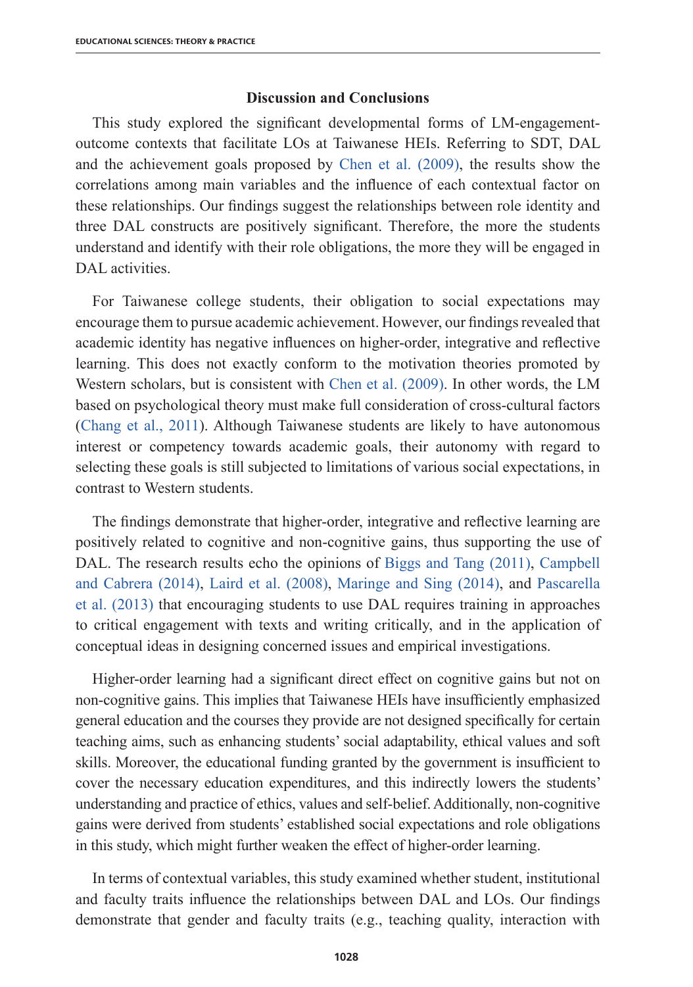# **Discussion and Conclusions**

This study explored the significant developmental forms of LM-engagementoutcome contexts that facilitate LOs at Taiwanese HEIs. Referring to SDT, DAL and the achievement goals proposed by Chen et al. (2009), the results show the correlations among main variables and the influence of each contextual factor on these relationships. Our findings suggest the relationships between role identity and three DAL constructs are positively significant. Therefore, the more the students understand and identify with their role obligations, the more they will be engaged in DAL activities.

For Taiwanese college students, their obligation to social expectations may encourage them to pursue academic achievement. However, our findings revealed that academic identity has negative influences on higher-order, integrative and reflective learning. This does not exactly conform to the motivation theories promoted by Western scholars, but is consistent with Chen et al. (2009). In other words, the LM based on psychological theory must make full consideration of cross-cultural factors (Chang et al., 2011). Although Taiwanese students are likely to have autonomous interest or competency towards academic goals, their autonomy with regard to selecting these goals is still subjected to limitations of various social expectations, in contrast to Western students.

The findings demonstrate that higher-order, integrative and reflective learning are positively related to cognitive and non-cognitive gains, thus supporting the use of DAL. The research results echo the opinions of Biggs and Tang (2011), Campbell and Cabrera (2014), Laird et al. (2008), Maringe and Sing (2014), and Pascarella et al. (2013) that encouraging students to use DAL requires training in approaches to critical engagement with texts and writing critically, and in the application of conceptual ideas in designing concerned issues and empirical investigations.

Higher-order learning had a significant direct effect on cognitive gains but not on non-cognitive gains. This implies that Taiwanese HEIs have insufficiently emphasized general education and the courses they provide are not designed specifically for certain teaching aims, such as enhancing students' social adaptability, ethical values and soft skills. Moreover, the educational funding granted by the government is insufficient to cover the necessary education expenditures, and this indirectly lowers the students' understanding and practice of ethics, values and self-belief. Additionally, non-cognitive gains were derived from students' established social expectations and role obligations in this study, which might further weaken the effect of higher-order learning.

In terms of contextual variables, this study examined whether student, institutional and faculty traits influence the relationships between DAL and LOs. Our findings demonstrate that gender and faculty traits (e.g., teaching quality, interaction with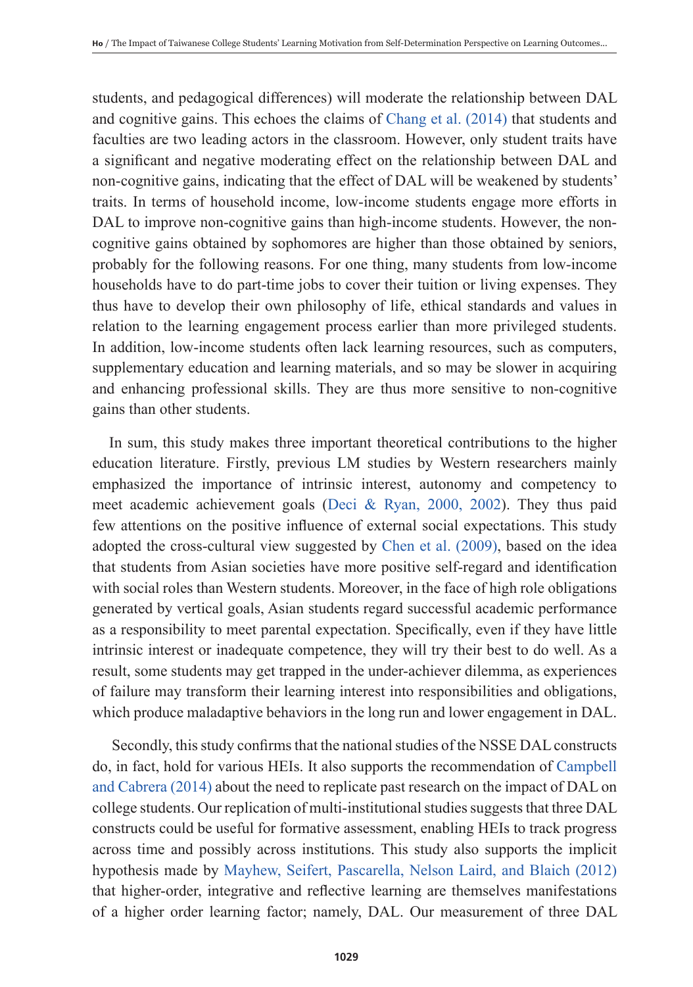students, and pedagogical differences) will moderate the relationship between DAL and cognitive gains. This echoes the claims of Chang et al. (2014) that students and faculties are two leading actors in the classroom. However, only student traits have a significant and negative moderating effect on the relationship between DAL and non-cognitive gains, indicating that the effect of DAL will be weakened by students' traits. In terms of household income, low-income students engage more efforts in DAL to improve non-cognitive gains than high-income students. However, the noncognitive gains obtained by sophomores are higher than those obtained by seniors, probably for the following reasons. For one thing, many students from low-income households have to do part-time jobs to cover their tuition or living expenses. They thus have to develop their own philosophy of life, ethical standards and values in relation to the learning engagement process earlier than more privileged students. In addition, low-income students often lack learning resources, such as computers, supplementary education and learning materials, and so may be slower in acquiring and enhancing professional skills. They are thus more sensitive to non-cognitive gains than other students.

In sum, this study makes three important theoretical contributions to the higher education literature. Firstly, previous LM studies by Western researchers mainly emphasized the importance of intrinsic interest, autonomy and competency to meet academic achievement goals (Deci & Ryan, 2000, 2002). They thus paid few attentions on the positive influence of external social expectations. This study adopted the cross-cultural view suggested by Chen et al. (2009), based on the idea that students from Asian societies have more positive self-regard and identification with social roles than Western students. Moreover, in the face of high role obligations generated by vertical goals, Asian students regard successful academic performance as a responsibility to meet parental expectation. Specifically, even if they have little intrinsic interest or inadequate competence, they will try their best to do well. As a result, some students may get trapped in the under-achiever dilemma, as experiences of failure may transform their learning interest into responsibilities and obligations, which produce maladaptive behaviors in the long run and lower engagement in DAL.

 Secondly, this study confirms that the national studies of the NSSE DAL constructs do, in fact, hold for various HEIs. It also supports the recommendation of Campbell and Cabrera (2014) about the need to replicate past research on the impact of DAL on college students. Our replication of multi-institutional studies suggests that three DAL constructs could be useful for formative assessment, enabling HEIs to track progress across time and possibly across institutions. This study also supports the implicit hypothesis made by Mayhew, Seifert, Pascarella, Nelson Laird, and Blaich (2012) that higher-order, integrative and reflective learning are themselves manifestations of a higher order learning factor; namely, DAL. Our measurement of three DAL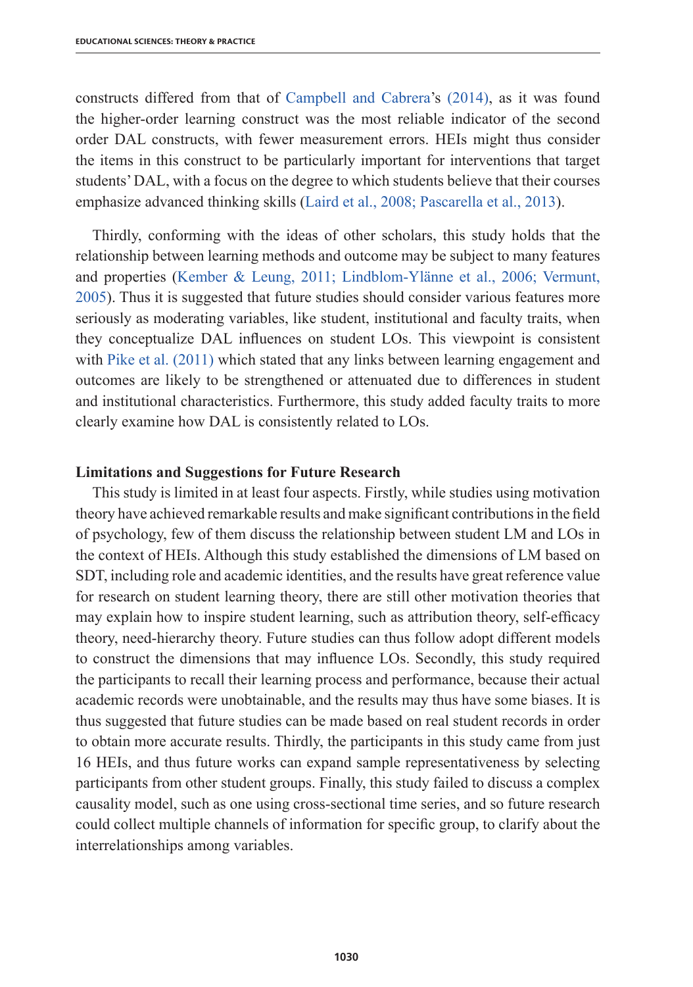constructs differed from that of Campbell and Cabrera's (2014), as it was found the higher-order learning construct was the most reliable indicator of the second order DAL constructs, with fewer measurement errors. HEIs might thus consider the items in this construct to be particularly important for interventions that target students' DAL, with a focus on the degree to which students believe that their courses emphasize advanced thinking skills (Laird et al., 2008; Pascarella et al., 2013).

Thirdly, conforming with the ideas of other scholars, this study holds that the relationship between learning methods and outcome may be subject to many features and properties (Kember & Leung, 2011; Lindblom-Ylänne et al., 2006; Vermunt, 2005). Thus it is suggested that future studies should consider various features more seriously as moderating variables, like student, institutional and faculty traits, when they conceptualize DAL influences on student LOs. This viewpoint is consistent with Pike et al. (2011) which stated that any links between learning engagement and outcomes are likely to be strengthened or attenuated due to differences in student and institutional characteristics. Furthermore, this study added faculty traits to more clearly examine how DAL is consistently related to LOs.

## **Limitations and Suggestions for Future Research**

This study is limited in at least four aspects. Firstly, while studies using motivation theory have achieved remarkable results and make significant contributions in the field of psychology, few of them discuss the relationship between student LM and LOs in the context of HEIs. Although this study established the dimensions of LM based on SDT, including role and academic identities, and the results have great reference value for research on student learning theory, there are still other motivation theories that may explain how to inspire student learning, such as attribution theory, self-efficacy theory, need-hierarchy theory. Future studies can thus follow adopt different models to construct the dimensions that may influence LOs. Secondly, this study required the participants to recall their learning process and performance, because their actual academic records were unobtainable, and the results may thus have some biases. It is thus suggested that future studies can be made based on real student records in order to obtain more accurate results. Thirdly, the participants in this study came from just 16 HEIs, and thus future works can expand sample representativeness by selecting participants from other student groups. Finally, this study failed to discuss a complex causality model, such as one using cross-sectional time series, and so future research could collect multiple channels of information for specific group, to clarify about the interrelationships among variables.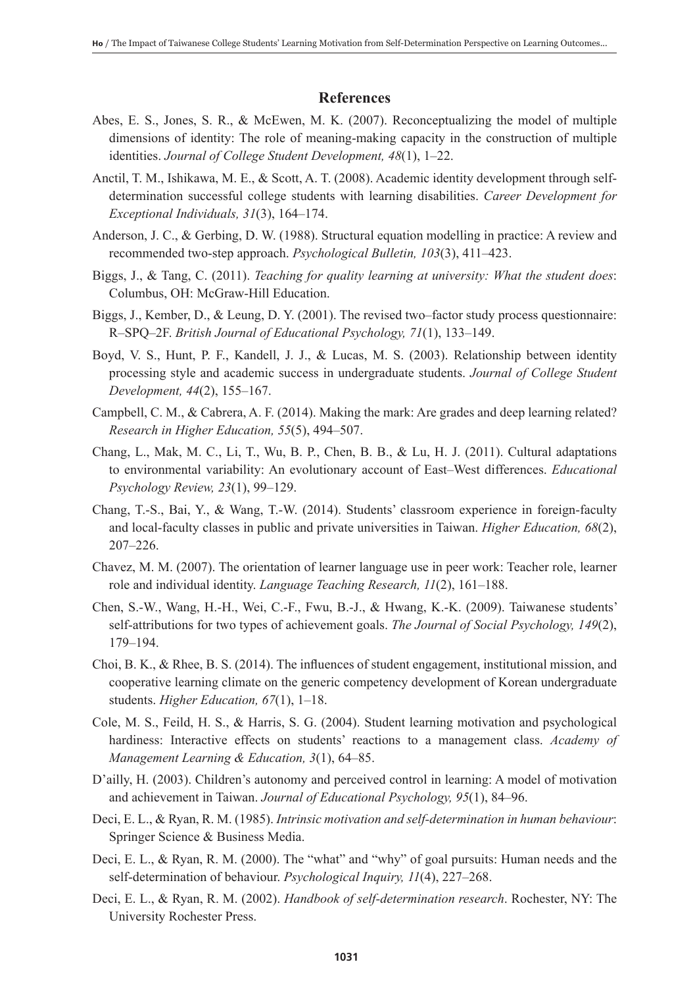# **References**

- Abes, E. S., Jones, S. R., & McEwen, M. K. (2007). Reconceptualizing the model of multiple dimensions of identity: The role of meaning-making capacity in the construction of multiple identities. *Journal of College Student Development, 48*(1), 1–22.
- Anctil, T. M., Ishikawa, M. E., & Scott, A. T. (2008). Academic identity development through selfdetermination successful college students with learning disabilities. *Career Development for Exceptional Individuals, 31*(3), 164–174.
- Anderson, J. C., & Gerbing, D. W. (1988). Structural equation modelling in practice: A review and recommended two-step approach. *Psychological Bulletin, 103*(3), 411–423.
- Biggs, J., & Tang, C. (2011). *Teaching for quality learning at university: What the student does*: Columbus, OH: McGraw-Hill Education.
- Biggs, J., Kember, D., & Leung, D. Y. (2001). The revised two–factor study process questionnaire: R–SPQ–2F. *British Journal of Educational Psychology, 71*(1), 133–149.
- Boyd, V. S., Hunt, P. F., Kandell, J. J., & Lucas, M. S. (2003). Relationship between identity processing style and academic success in undergraduate students. *Journal of College Student Development, 44*(2), 155–167.
- Campbell, C. M., & Cabrera, A. F. (2014). Making the mark: Are grades and deep learning related? *Research in Higher Education, 55*(5), 494–507.
- Chang, L., Mak, M. C., Li, T., Wu, B. P., Chen, B. B., & Lu, H. J. (2011). Cultural adaptations to environmental variability: An evolutionary account of East–West differences. *Educational Psychology Review, 23*(1), 99–129.
- Chang, T.-S., Bai, Y., & Wang, T.-W. (2014). Students' classroom experience in foreign-faculty and local-faculty classes in public and private universities in Taiwan. *Higher Education, 68*(2), 207–226.
- Chavez, M. M. (2007). The orientation of learner language use in peer work: Teacher role, learner role and individual identity. *Language Teaching Research, 11*(2), 161–188.
- Chen, S.-W., Wang, H.-H., Wei, C.-F., Fwu, B.-J., & Hwang, K.-K. (2009). Taiwanese students' self-attributions for two types of achievement goals. *The Journal of Social Psychology, 149*(2), 179–194.
- Choi, B. K., & Rhee, B. S. (2014). The influences of student engagement, institutional mission, and cooperative learning climate on the generic competency development of Korean undergraduate students. *Higher Education, 67*(1), 1–18.
- Cole, M. S., Feild, H. S., & Harris, S. G. (2004). Student learning motivation and psychological hardiness: Interactive effects on students' reactions to a management class. *Academy of Management Learning & Education, 3*(1), 64–85.
- D'ailly, H. (2003). Children's autonomy and perceived control in learning: A model of motivation and achievement in Taiwan. *Journal of Educational Psychology, 95*(1), 84–96.
- Deci, E. L., & Ryan, R. M. (1985). *Intrinsic motivation and self-determination in human behaviour*: Springer Science & Business Media.
- Deci, E. L., & Ryan, R. M. (2000). The "what" and "why" of goal pursuits: Human needs and the self-determination of behaviour. *Psychological Inquiry, 11*(4), 227–268.
- Deci, E. L., & Ryan, R. M. (2002). *Handbook of self-determination research*. Rochester, NY: The University Rochester Press.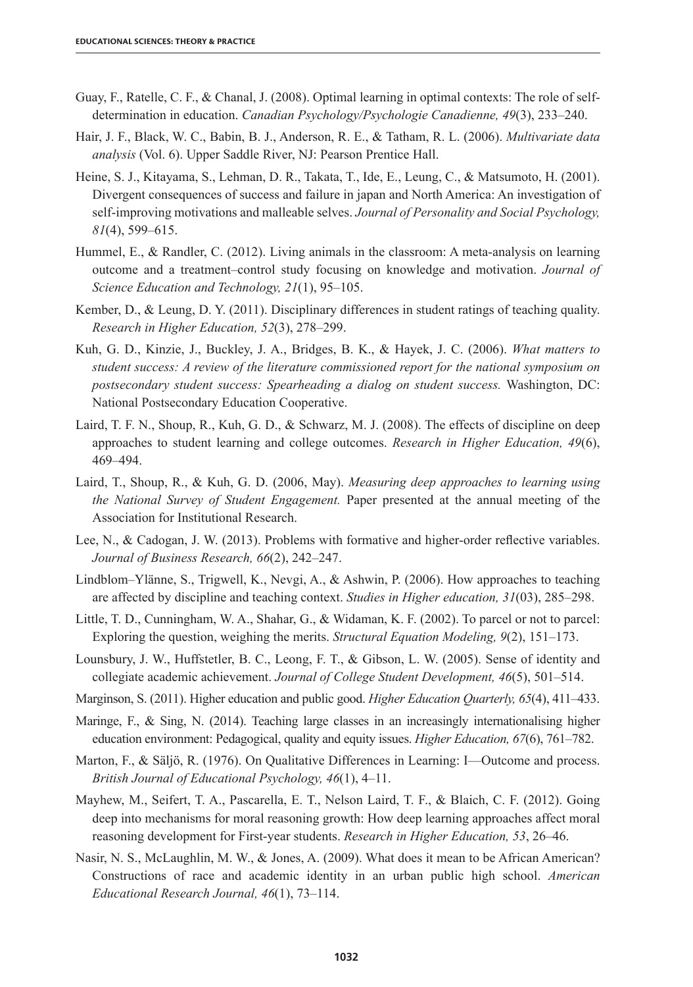- Guay, F., Ratelle, C. F., & Chanal, J. (2008). Optimal learning in optimal contexts: The role of selfdetermination in education. *Canadian Psychology/Psychologie Canadienne, 49*(3), 233–240.
- Hair, J. F., Black, W. C., Babin, B. J., Anderson, R. E., & Tatham, R. L. (2006). *Multivariate data analysis* (Vol. 6). Upper Saddle River, NJ: Pearson Prentice Hall.
- Heine, S. J., Kitayama, S., Lehman, D. R., Takata, T., Ide, E., Leung, C., & Matsumoto, H. (2001). Divergent consequences of success and failure in japan and North America: An investigation of self-improving motivations and malleable selves. *Journal of Personality and Social Psychology, 81*(4), 599–615.
- Hummel, E., & Randler, C. (2012). Living animals in the classroom: A meta-analysis on learning outcome and a treatment–control study focusing on knowledge and motivation. *Journal of Science Education and Technology, 21*(1), 95–105.
- Kember, D., & Leung, D. Y. (2011). Disciplinary differences in student ratings of teaching quality. *Research in Higher Education, 52*(3), 278–299.
- Kuh, G. D., Kinzie, J., Buckley, J. A., Bridges, B. K., & Hayek, J. C. (2006). *What matters to student success: A review of the literature commissioned report for the national symposium on postsecondary student success: Spearheading a dialog on student success.* Washington, DC: National Postsecondary Education Cooperative.
- Laird, T. F. N., Shoup, R., Kuh, G. D., & Schwarz, M. J. (2008). The effects of discipline on deep approaches to student learning and college outcomes. *Research in Higher Education, 49*(6), 469–494.
- Laird, T., Shoup, R., & Kuh, G. D. (2006, May). *Measuring deep approaches to learning using the National Survey of Student Engagement.* Paper presented at the annual meeting of the Association for Institutional Research.
- Lee, N., & Cadogan, J. W. (2013). Problems with formative and higher-order reflective variables. *Journal of Business Research, 66*(2), 242–247.
- Lindblom–Ylänne, S., Trigwell, K., Nevgi, A., & Ashwin, P. (2006). How approaches to teaching are affected by discipline and teaching context. *Studies in Higher education, 31*(03), 285–298.
- Little, T. D., Cunningham, W. A., Shahar, G., & Widaman, K. F. (2002). To parcel or not to parcel: Exploring the question, weighing the merits. *Structural Equation Modeling, 9*(2), 151–173.
- Lounsbury, J. W., Huffstetler, B. C., Leong, F. T., & Gibson, L. W. (2005). Sense of identity and collegiate academic achievement. *Journal of College Student Development, 46*(5), 501–514.
- Marginson, S. (2011). Higher education and public good. *Higher Education Quarterly, 65*(4), 411–433.
- Maringe, F., & Sing, N. (2014). Teaching large classes in an increasingly internationalising higher education environment: Pedagogical, quality and equity issues. *Higher Education, 67*(6), 761–782.
- Marton, F., & Säljö, R. (1976). On Qualitative Differences in Learning: I—Outcome and process. *British Journal of Educational Psychology, 46*(1), 4–11.
- Mayhew, M., Seifert, T. A., Pascarella, E. T., Nelson Laird, T. F., & Blaich, C. F. (2012). Going deep into mechanisms for moral reasoning growth: How deep learning approaches affect moral reasoning development for First-year students. *Research in Higher Education, 53*, 26–46.
- Nasir, N. S., McLaughlin, M. W., & Jones, A. (2009). What does it mean to be African American? Constructions of race and academic identity in an urban public high school. *American Educational Research Journal, 46*(1), 73–114.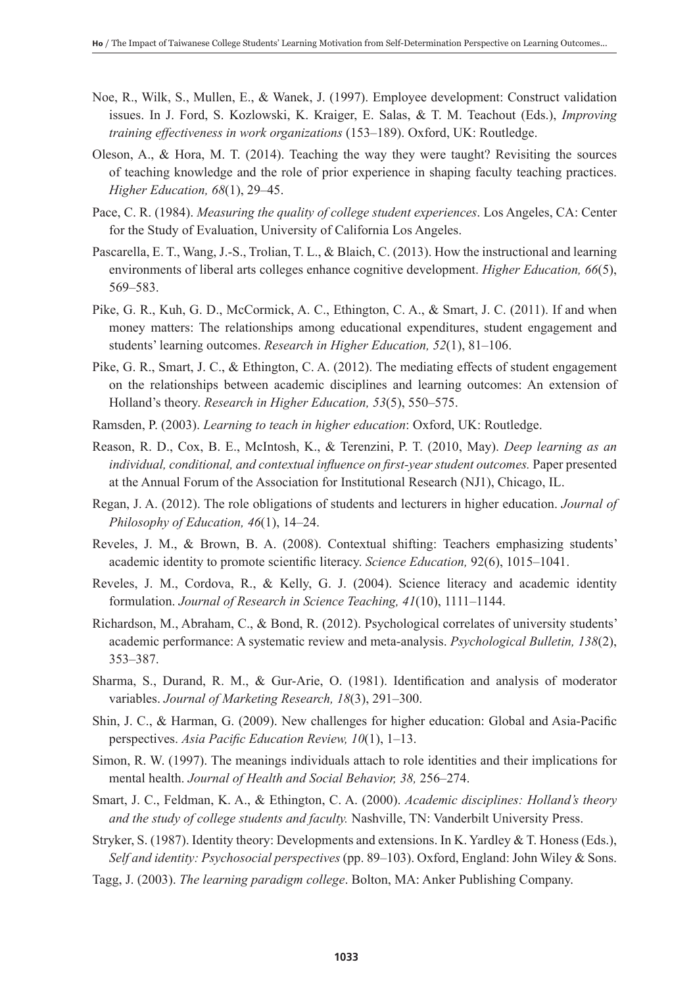- Noe, R., Wilk, S., Mullen, E., & Wanek, J. (1997). Employee development: Construct validation issues. In J. Ford, S. Kozlowski, K. Kraiger, E. Salas, & T. M. Teachout (Eds.), *Improving training effectiveness in work organizations* (153–189). Oxford, UK: Routledge.
- Oleson, A., & Hora, M. T. (2014). Teaching the way they were taught? Revisiting the sources of teaching knowledge and the role of prior experience in shaping faculty teaching practices. *Higher Education, 68*(1), 29–45.
- Pace, C. R. (1984). *Measuring the quality of college student experiences*. Los Angeles, CA: Center for the Study of Evaluation, University of California Los Angeles.
- Pascarella, E. T., Wang, J.-S., Trolian, T. L., & Blaich, C. (2013). How the instructional and learning environments of liberal arts colleges enhance cognitive development. *Higher Education, 66*(5), 569–583.
- Pike, G. R., Kuh, G. D., McCormick, A. C., Ethington, C. A., & Smart, J. C. (2011). If and when money matters: The relationships among educational expenditures, student engagement and students' learning outcomes. *Research in Higher Education, 52*(1), 81–106.
- Pike, G. R., Smart, J. C., & Ethington, C. A. (2012). The mediating effects of student engagement on the relationships between academic disciplines and learning outcomes: An extension of Holland's theory. *Research in Higher Education, 53*(5), 550–575.
- Ramsden, P. (2003). *Learning to teach in higher education*: Oxford, UK: Routledge.
- Reason, R. D., Cox, B. E., McIntosh, K., & Terenzini, P. T. (2010, May). *Deep learning as an*  individual, conditional, and contextual influence on first-year student outcomes. Paper presented at the Annual Forum of the Association for Institutional Research (NJ1), Chicago, IL.
- Regan, J. A. (2012). The role obligations of students and lecturers in higher education. *Journal of Philosophy of Education, 46*(1), 14–24.
- Reveles, J. M., & Brown, B. A. (2008). Contextual shifting: Teachers emphasizing students' academic identity to promote scientific literacy. *Science Education,* 92(6), 1015–1041.
- Reveles, J. M., Cordova, R., & Kelly, G. J. (2004). Science literacy and academic identity formulation. *Journal of Research in Science Teaching, 41*(10), 1111–1144.
- Richardson, M., Abraham, C., & Bond, R. (2012). Psychological correlates of university students' academic performance: A systematic review and meta-analysis. *Psychological Bulletin, 138*(2), 353–387.
- Sharma, S., Durand, R. M., & Gur-Arie, O. (1981). Identification and analysis of moderator variables. *Journal of Marketing Research, 18*(3), 291–300.
- Shin, J. C., & Harman, G. (2009). New challenges for higher education: Global and Asia-Pacific perspectives. *Asia Pacific Education Review, 10*(1), 1–13.
- Simon, R. W. (1997). The meanings individuals attach to role identities and their implications for mental health. *Journal of Health and Social Behavior, 38,* 256–274.
- Smart, J. C., Feldman, K. A., & Ethington, C. A. (2000). *Academic disciplines: Holland's theory and the study of college students and faculty.* Nashville, TN: Vanderbilt University Press.
- Stryker, S. (1987). Identity theory: Developments and extensions. In K. Yardley & T. Honess (Eds.), *Self and identity: Psychosocial perspectives* (pp. 89–103). Oxford, England: John Wiley & Sons.
- Tagg, J. (2003). *The learning paradigm college*. Bolton, MA: Anker Publishing Company.